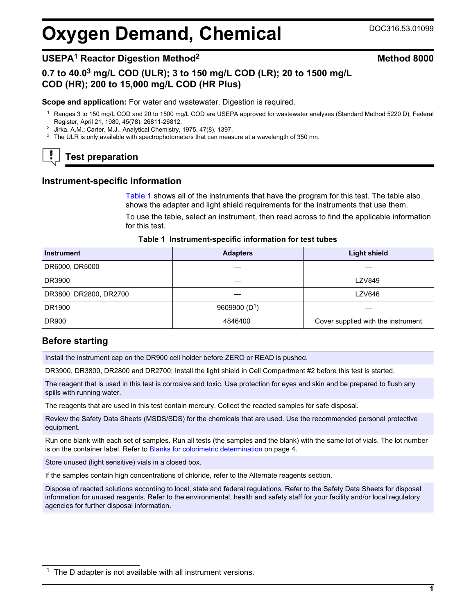# <span id="page-0-0"></span>**Oxygen Demand, Chemical** DOC316.53.01099

# **USEPA<sup>1</sup> Reactor Digestion Method<sup>2</sup> Method 8000**

# **0.7 to 40.0<sup>3</sup> mg/L COD (ULR); 3 to 150 mg/L COD (LR); 20 to 1500 mg/L COD (HR); 200 to 15,000 mg/L COD (HR Plus)**

#### **Scope and application:** For water and wastewater. Digestion is required.

- <sup>1</sup> Ranges 3 to 150 mg/L COD and 20 to 1500 mg/L COD are USEPA approved for wastewater analyses (Standard Method 5220 D), Federal Register, April 21, 1980, 45(78), 26811-26812.
- <sup>2</sup> Jirka, A.M.; Carter, M.J., Analytical Chemistry, 1975, 47(8), 1397.
- <sup>3</sup> The ULR is only available with spectrophotometers that can measure at a wavelength of 350 nm.

# **Test preparation**

#### **Instrument-specific information**

Table 1 shows all of the instruments that have the program for this test. The table also shows the adapter and light shield requirements for the instruments that use them.

To use the table, select an instrument, then read across to find the applicable information for this test.

#### **Table 1 Instrument-specific information for test tubes**

| <b>Instrument</b>      | <b>Adapters</b> | <b>Light shield</b>                |  |  |
|------------------------|-----------------|------------------------------------|--|--|
| DR6000, DR5000         |                 |                                    |  |  |
| DR3900                 |                 | <b>LZV849</b>                      |  |  |
| DR3800, DR2800, DR2700 |                 | LZV646                             |  |  |
| DR1900                 | 9609900 $(D1)$  |                                    |  |  |
| <b>DR900</b>           | 4846400         | Cover supplied with the instrument |  |  |

# **Before starting**

Install the instrument cap on the DR900 cell holder before ZERO or READ is pushed.

DR3900, DR3800, DR2800 and DR2700: Install the light shield in Cell Compartment #2 before this test is started.

The reagent that is used in this test is corrosive and toxic. Use protection for eyes and skin and be prepared to flush any spills with running water.

The reagents that are used in this test contain mercury. Collect the reacted samples for safe disposal.

Review the Safety Data Sheets (MSDS/SDS) for the chemicals that are used. Use the recommended personal protective equipment.

Run one blank with each set of samples. Run all tests (the samples and the blank) with the same lot of vials. The lot number is on the container label. Refer to [Blanks for colorimetric determination](#page-3-0) on page 4.

Store unused (light sensitive) vials in a closed box.

If the samples contain high concentrations of chloride, refer to the Alternate reagents section.

Dispose of reacted solutions according to local, state and federal regulations. Refer to the Safety Data Sheets for disposal information for unused reagents. Refer to the environmental, health and safety staff for your facility and/or local regulatory agencies for further disposal information.

 $1$  The D adapter is not available with all instrument versions.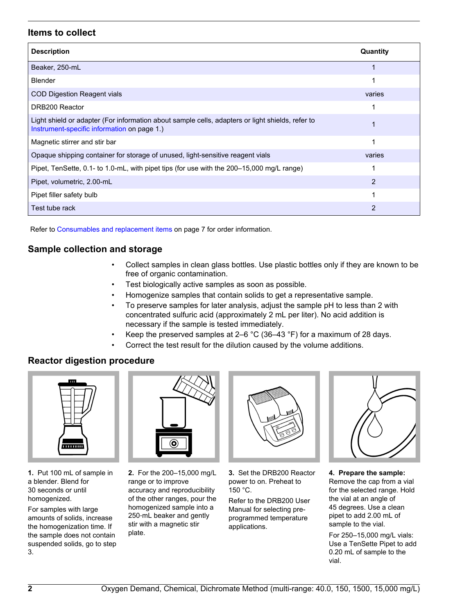# **Items to collect**

| <b>Description</b>                                                                                                                              | Quantity |
|-------------------------------------------------------------------------------------------------------------------------------------------------|----------|
| Beaker, 250-mL                                                                                                                                  |          |
| <b>Blender</b>                                                                                                                                  |          |
| COD Digestion Reagent vials                                                                                                                     | varies   |
| DRB200 Reactor                                                                                                                                  |          |
| Light shield or adapter (For information about sample cells, adapters or light shields, refer to<br>Instrument-specific information on page 1.) |          |
| Magnetic stirrer and stir bar                                                                                                                   |          |
| Opaque shipping container for storage of unused, light-sensitive reagent vials                                                                  | varies   |
| Pipet, TenSette, 0.1- to 1.0-mL, with pipet tips (for use with the 200–15,000 mg/L range)                                                       |          |
| Pipet, volumetric, 2.00-mL                                                                                                                      | 2        |
| Pipet filler safety bulb                                                                                                                        | 1        |
| Test tube rack                                                                                                                                  | 2        |

Refer to [Consumables and replacement items](#page-6-0) on page 7 for order information.

# **Sample collection and storage**

- Collect samples in clean glass bottles. Use plastic bottles only if they are known to be free of organic contamination.
- Test biologically active samples as soon as possible.
- Homogenize samples that contain solids to get a representative sample.
- concentrated sulfuric acid (approximately 2 mL per liter). No acid addition is necessary if the sample is tested immediately.
- Keep the preserved samples at 2–6  $^{\circ}$ C (36–43  $^{\circ}$ F) for a maximum of 28 days.
- Correct the test result for the dilution caused by the volume additions.

### **Reactor digestion procedure**



**1.** Put 100 mL of sample in a blender. Blend for 30 seconds or until homogenized.

For samples with large amounts of solids, increase the homogenization time. If the sample does not contain suspended solids, go to step 3.



**2.** For the 200–15,000 mg/L range or to improve accuracy and reproducibility of the other ranges, pour the homogenized sample into a 250‑mL beaker and gently stir with a magnetic stir plate.



**3.** Set the DRB200 Reactor power to on. Preheat to 150 °C.

Refer to the DRB200 User Manual for selecting preprogrammed temperature applications.



**4. Prepare the sample:** Remove the cap from a vial for the selected range. Hold the vial at an angle of 45 degrees. Use a clean pipet to add 2.00 mL of sample to the vial.

For 250–15,000 mg/L vials: Use a TenSette Pipet to add 0.20 mL of sample to the vial.

• To preserve samples for later analysis, adjust the sample pH to less than 2 with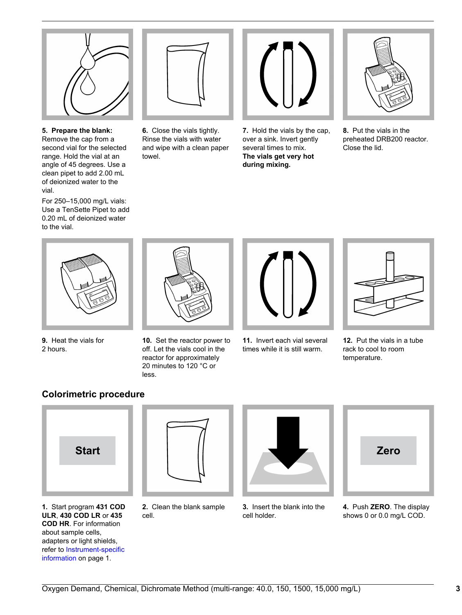

**5. Prepare the blank:** Remove the cap from a second vial for the selected range. Hold the vial at an angle of 45 degrees. Use a clean pipet to add 2.00 mL of deionized water to the vial.

For 250–15,000 mg/L vials: Use a TenSette Pipet to add 0.20 mL of deionized water to the vial.



**6.** Close the vials tightly. Rinse the vials with water and wipe with a clean paper towel.



**7.** Hold the vials by the cap, over a sink. Invert gently several times to mix. **The vials get very hot during mixing.**



**8.** Put the vials in the preheated DRB200 reactor. Close the lid.



**9.** Heat the vials for 2 hours.



- **10.** Set the reactor power to off. Let the vials cool in the reactor for approximately 20 minutes to 120 °C or less.
- **11.** Invert each vial several times while it is still warm.



**12.** Put the vials in a tube rack to cool to room temperature.

# **Colorimetric procedure**



**1.** Start program **431 COD ULR**, **430 COD LR** or **435 COD HR**. For information about sample cells, adapters or light shields, refer to [Instrument-specific](#page-0-0) [information](#page-0-0) on page 1.



**2.** Clean the blank sample cell.



**3.** Insert the blank into the cell holder.



**4.** Push **ZERO**. The display shows 0 or 0.0 mg/L COD.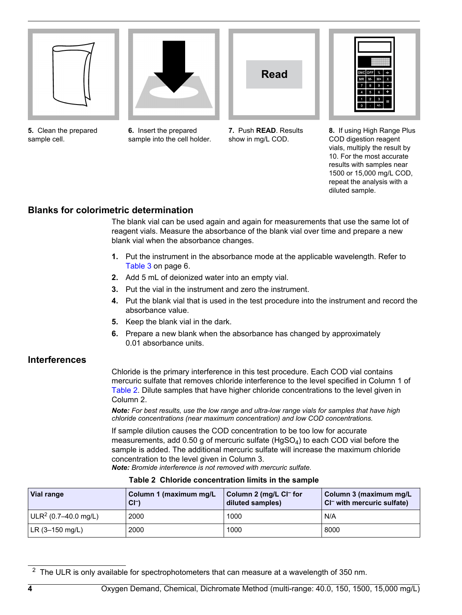<span id="page-3-0"></span>

**5.** Clean the prepared sample cell.



**6.** Insert the prepared sample into the cell holder.



**7.** Push **READ**. Results show in mg/L COD.



**8.** If using High Range Plus COD digestion reagent vials, multiply the result by 10. For the most accurate results with samples near 1500 or 15,000 mg/L COD, repeat the analysis with a diluted sample.

# **Blanks for colorimetric determination**

The blank vial can be used again and again for measurements that use the same lot of reagent vials. Measure the absorbance of the blank vial over time and prepare a new blank vial when the absorbance changes.

- **1.** Put the instrument in the absorbance mode at the applicable wavelength. Refer to [Table 3](#page-5-0) on page 6.
- **2.** Add 5 mL of deionized water into an empty vial.
- **3.** Put the vial in the instrument and zero the instrument.
- **4.** Put the blank vial that is used in the test procedure into the instrument and record the absorbance value.
- **5.** Keep the blank vial in the dark.
- **6.** Prepare a new blank when the absorbance has changed by approximately 0.01 absorbance units.

## **Interferences**

Chloride is the primary interference in this test procedure. Each COD vial contains mercuric sulfate that removes chloride interference to the level specified in Column 1 of Table 2. Dilute samples that have higher chloride concentrations to the level given in Column 2.

*Note: For best results, use the low range and ultra-low range vials for samples that have high chloride concentrations (near maximum concentration) and low COD concentrations.*

If sample dilution causes the COD concentration to be too low for accurate measurements, add 0.50 g of mercuric sulfate  $(HgSO<sub>4</sub>)$  to each COD vial before the sample is added. The additional mercuric sulfate will increase the maximum chloride concentration to the level given in Column 3.

*Note: Bromide interference is not removed with mercuric sulfate.*

|  |  | Table 2 Chloride concentration limits in the sample |  |  |  |
|--|--|-----------------------------------------------------|--|--|--|
|--|--|-----------------------------------------------------|--|--|--|

| Vial range             | Column 1 (maximum mg/L)<br>$CI-$ | Column 2 (mg/L Cl <sup>–</sup> for<br>diluted samples) | Column 3 (maximum mg/L<br>CI <sup>-</sup> with mercuric sulfate) |
|------------------------|----------------------------------|--------------------------------------------------------|------------------------------------------------------------------|
| $ULR2$ (0.7–40.0 mg/L) | 2000                             | 1000                                                   | N/A                                                              |
| LR (3–150 mg/L)        | 2000                             | 1000                                                   | 8000                                                             |

 $2$  The ULR is only available for spectrophotometers that can measure at a wavelength of 350 nm.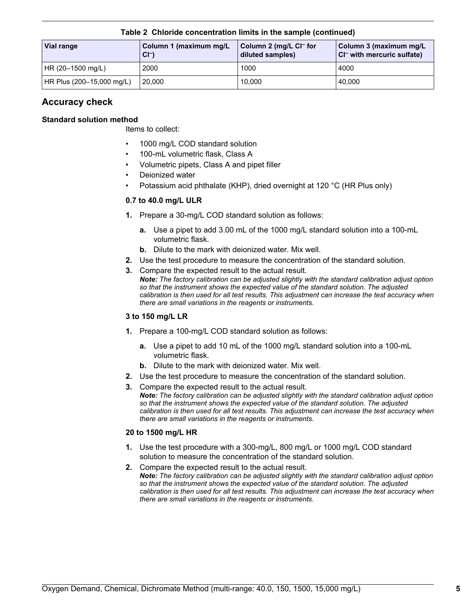| Vial range                | Column 1 (maximum mg/L<br>$CI-$ | Column 2 (mg/L CI <sup>-</sup> for<br>diluted samples) | Column 3 (maximum mg/L<br>CI <sup>-</sup> with mercuric sulfate) |  |  |
|---------------------------|---------------------------------|--------------------------------------------------------|------------------------------------------------------------------|--|--|
| HR (20-1500 mg/L)         | 2000                            | 1000                                                   | 4000                                                             |  |  |
| HR Plus (200–15,000 mg/L) | 20,000                          | 10.000                                                 | 40,000                                                           |  |  |

**Table 2 Chloride concentration limits in the sample (continued)**

# **Accuracy check**

### **Standard solution method**

Items to collect:

- 1000 mg/L COD standard solution
- 100-mL volumetric flask, Class A
- Volumetric pipets, Class A and pipet filler
- Deionized water
- Potassium acid phthalate (KHP), dried overnight at 120 °C (HR Plus only)

#### **0.7 to 40.0 mg/L ULR**

- **1.** Prepare a 30-mg/L COD standard solution as follows:
	- **a.** Use a pipet to add 3.00 mL of the 1000 mg/L standard solution into a 100-mL volumetric flask.
	- **b.** Dilute to the mark with deionized water. Mix well.
- **2.** Use the test procedure to measure the concentration of the standard solution.
- **3.** Compare the expected result to the actual result. *Note: The factory calibration can be adjusted slightly with the standard calibration adjust option so that the instrument shows the expected value of the standard solution. The adjusted calibration is then used for all test results. This adjustment can increase the test accuracy when there are small variations in the reagents or instruments.*

#### **3 to 150 mg/L LR**

- **1.** Prepare a 100-mg/L COD standard solution as follows:
	- **a.** Use a pipet to add 10 mL of the 1000 mg/L standard solution into a 100-mL volumetric flask.
	- **b.** Dilute to the mark with deionized water. Mix well.
- **2.** Use the test procedure to measure the concentration of the standard solution.
- **3.** Compare the expected result to the actual result. *Note: The factory calibration can be adjusted slightly with the standard calibration adjust option so that the instrument shows the expected value of the standard solution. The adjusted calibration is then used for all test results. This adjustment can increase the test accuracy when there are small variations in the reagents or instruments.*

#### **20 to 1500 mg/L HR**

- **1.** Use the test procedure with a 300-mg/L, 800 mg/L or 1000 mg/L COD standard solution to measure the concentration of the standard solution.
- **2.** Compare the expected result to the actual result. *Note: The factory calibration can be adjusted slightly with the standard calibration adjust option so that the instrument shows the expected value of the standard solution. The adjusted calibration is then used for all test results. This adjustment can increase the test accuracy when there are small variations in the reagents or instruments.*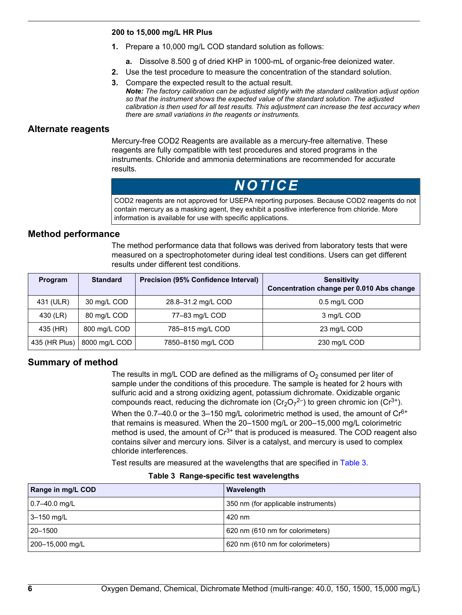#### <span id="page-5-0"></span>**200 to 15,000 mg/L HR Plus**

- **1.** Prepare a 10,000 mg/L COD standard solution as follows:
	- **a.** Dissolve 8.500 g of dried KHP in 1000-mL of organic-free deionized water.
- **2.** Use the test procedure to measure the concentration of the standard solution.
- **3.** Compare the expected result to the actual result. *Note: The factory calibration can be adjusted slightly with the standard calibration adjust option so that the instrument shows the expected value of the standard solution. The adjusted calibration is then used for all test results. This adjustment can increase the test accuracy when there are small variations in the reagents or instruments.*

#### **Alternate reagents**

Mercury-free COD2 Reagents are available as a mercury-free alternative. These reagents are fully compatible with test procedures and stored programs in the instruments. Chloride and ammonia determinations are recommended for accurate results.

# *N O T I C E*

COD2 reagents are not approved for USEPA reporting purposes. Because COD2 reagents do not contain mercury as a masking agent, they exhibit a positive interference from chloride. More information is available for use with specific applications.

### **Method performance**

The method performance data that follows was derived from laboratory tests that were measured on a spectrophotometer during ideal test conditions. Users can get different results under different test conditions.

| <b>Program</b> | <b>Standard</b> | <b>Precision (95% Confidence Interval)</b> | <b>Sensitivity</b><br>Concentration change per 0.010 Abs change |
|----------------|-----------------|--------------------------------------------|-----------------------------------------------------------------|
| 431 (ULR)      | 30 mg/L COD     | 28.8-31.2 mg/L COD                         | 0.5 mg/L COD                                                    |
| 430 (LR)       | 80 mg/L COD     | 77-83 mg/L COD                             | 3 mg/L COD                                                      |
| 435 (HR)       | 800 mg/L COD    | 785-815 mg/L COD                           | 23 mg/L COD                                                     |
| 435 (HR Plus)  | 8000 mg/L COD   | 7850-8150 mg/L COD                         | 230 mg/L COD                                                    |

# **Summary of method**

The results in mg/L COD are defined as the milligrams of  $O<sub>2</sub>$  consumed per liter of sample under the conditions of this procedure. The sample is heated for 2 hours with sulfuric acid and a strong oxidizing agent, potassium dichromate. Oxidizable organic compounds react, reducing the dichromate ion ( $Cr_2O_7^{2-}$ ) to green chromic ion ( $Cr^{3+}$ ).

When the 0.7–40.0 or the 3–150 mg/L colorimetric method is used, the amount of  $Cr<sup>6+</sup>$ that remains is measured. When the 20–1500 mg/L or 200–15,000 mg/L colorimetric method is used, the amount of  $Cr^{3+}$  that is produced is measured. The COD reagent also contains silver and mercury ions. Silver is a catalyst, and mercury is used to complex chloride interferences.

Test results are measured at the wavelengths that are specified in Table 3.

|  | Table 3 Range-specific test wavelengths |  |
|--|-----------------------------------------|--|
|--|-----------------------------------------|--|

| Range in mg/L COD | Wavelength                          |
|-------------------|-------------------------------------|
| $0.7 - 40.0$ mg/L | 350 nm (for applicable instruments) |
| 3-150 mg/L        | 420 nm                              |
| 20-1500           | 620 nm (610 nm for colorimeters)    |
| 200–15,000 mg/L   | 620 nm (610 nm for colorimeters)    |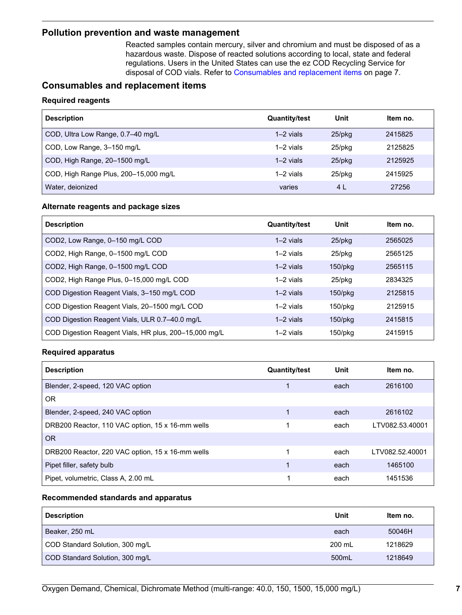#### <span id="page-6-0"></span>**Pollution prevention and waste management**

Reacted samples contain mercury, silver and chromium and must be disposed of as a hazardous waste. Dispose of reacted solutions according to local, state and federal regulations. Users in the United States can use the ez COD Recycling Service for disposal of COD vials. Refer to Consumables and replacement items on page 7.

# **Consumables and replacement items**

#### **Required reagents**

| <b>Description</b>                    | <b>Quantity/test</b> | Unit      | Item no. |
|---------------------------------------|----------------------|-----------|----------|
| COD, Ultra Low Range, 0.7-40 mg/L     | $1-2$ vials          | $25$ /pkg | 2415825  |
| COD, Low Range, 3-150 mg/L            | $1-2$ vials          | $25$ /pkq | 2125825  |
| COD, High Range, 20-1500 mg/L         | $1-2$ vials          | $25$ /pkq | 2125925  |
| COD, High Range Plus, 200-15,000 mg/L | $1-2$ vials          | $25$ /pkq | 2415925  |
| Water, deionized                      | varies               | 4 L       | 27256    |

#### **Alternate reagents and package sizes**

| <b>Description</b>                                    | <b>Quantity/test</b> | Unit         | Item no. |
|-------------------------------------------------------|----------------------|--------------|----------|
| COD2, Low Range, 0-150 mg/L COD                       | $1-2$ vials          | $25$ /p $kg$ | 2565025  |
| COD2, High Range, 0-1500 mg/L COD                     | $1-2$ vials          | $25$ /pkq    | 2565125  |
| COD2, High Range, 0-1500 mg/L COD                     | $1-2$ vials          | $150$ /pkg   | 2565115  |
| COD2, High Range Plus, 0-15,000 mg/L COD              | $1-2$ vials          | 25/pkg       | 2834325  |
| COD Digestion Reagent Vials, 3-150 mg/L COD           | $1-2$ vials          | $150$ /pkg   | 2125815  |
| COD Digestion Reagent Vials, 20-1500 mg/L COD         | $1-2$ vials          | 150/pkg      | 2125915  |
| COD Digestion Reagent Vials, ULR 0.7-40.0 mg/L        | $1-2$ vials          | $150$ /pkg   | 2415815  |
| COD Digestion Reagent Vials, HR plus, 200-15,000 mg/L | $1-2$ vials          | $150$ /pkg   | 2415915  |

#### **Required apparatus**

| <b>Description</b>                               | <b>Quantity/test</b> | Unit | Item no.        |
|--------------------------------------------------|----------------------|------|-----------------|
| Blender, 2-speed, 120 VAC option                 |                      | each | 2616100         |
| 0 <sub>R</sub>                                   |                      |      |                 |
| Blender, 2-speed, 240 VAC option                 |                      | each | 2616102         |
| DRB200 Reactor, 110 VAC option, 15 x 16-mm wells |                      | each | LTV082.53.40001 |
| <b>OR</b>                                        |                      |      |                 |
| DRB200 Reactor, 220 VAC option, 15 x 16-mm wells |                      | each | LTV082.52.40001 |
| Pipet filler, safety bulb                        |                      | each | 1465100         |
| Pipet, volumetric, Class A, 2.00 mL              |                      | each | 1451536         |

#### **Recommended standards and apparatus**

| <b>Description</b>              | Unit   | Item no. |
|---------------------------------|--------|----------|
| Beaker, 250 mL                  | each   | 50046H   |
| COD Standard Solution, 300 mg/L | 200 mL | 1218629  |
| COD Standard Solution, 300 mg/L | 500mL  | 1218649  |